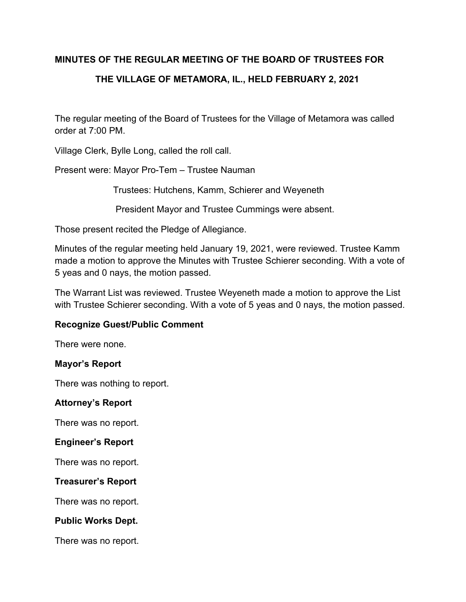### **MINUTES OF THE REGULAR MEETING OF THE BOARD OF TRUSTEES FOR**

# **THE VILLAGE OF METAMORA, IL., HELD FEBRUARY 2, 2021**

The regular meeting of the Board of Trustees for the Village of Metamora was called order at 7:00 PM.

Village Clerk, Bylle Long, called the roll call.

Present were: Mayor Pro-Tem – Trustee Nauman

Trustees: Hutchens, Kamm, Schierer and Weyeneth

President Mayor and Trustee Cummings were absent.

Those present recited the Pledge of Allegiance.

Minutes of the regular meeting held January 19, 2021, were reviewed. Trustee Kamm made a motion to approve the Minutes with Trustee Schierer seconding. With a vote of 5 yeas and 0 nays, the motion passed.

The Warrant List was reviewed. Trustee Weyeneth made a motion to approve the List with Trustee Schierer seconding. With a vote of 5 yeas and 0 nays, the motion passed.

### **Recognize Guest/Public Comment**

There were none.

#### **Mayor's Report**

There was nothing to report.

#### **Attorney's Report**

There was no report.

#### **Engineer's Report**

There was no report.

#### **Treasurer's Report**

There was no report.

#### **Public Works Dept.**

There was no report.